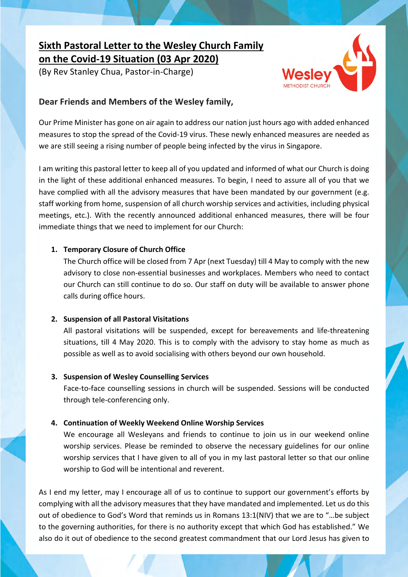# **Sixth Pastoral Letter to the Wesley Church Family on the Covid-19 Situation (03 Apr 2020)**

(By Rev Stanley Chua, Pastor-in-Charge)



## **Dear Friends and Members of the Wesley family,**

Our Prime Minister has gone on air again to address our nation just hours ago with added enhanced measures to stop the spread of the Covid-19 virus. These newly enhanced measures are needed as we are still seeing a rising number of people being infected by the virus in Singapore.

I am writing this pastoral letter to keep all of you updated and informed of what our Church is doing in the light of these additional enhanced measures. To begin, I need to assure all of you that we have complied with all the advisory measures that have been mandated by our government (e.g. staff working from home, suspension of all church worship services and activities, including physical meetings, etc.). With the recently announced additional enhanced measures, there will be four immediate things that we need to implement for our Church:

#### **1. Temporary Closure of Church Office**

The Church office will be closed from 7 Apr (next Tuesday) till 4 May to comply with the new advisory to close non-essential businesses and workplaces. Members who need to contact our Church can still continue to do so. Our staff on duty will be available to answer phone calls during office hours.

#### **2. Suspension of all Pastoral Visitations**

All pastoral visitations will be suspended, except for bereavements and life-threatening situations, till 4 May 2020. This is to comply with the advisory to stay home as much as possible as well as to avoid socialising with others beyond our own household.

#### **3. Suspension of Wesley Counselling Services**

Face-to-face counselling sessions in church will be suspended. Sessions will be conducted through tele-conferencing only.

### **4. Continuation of Weekly Weekend Online Worship Services**

We encourage all Wesleyans and friends to continue to join us in our weekend online worship services. Please be reminded to observe the necessary guidelines for our online worship services that I have given to all of you in my last pastoral letter so that our online worship to God will be intentional and reverent.

As I end my letter, may I encourage all of us to continue to support our government's efforts by complying with all the advisory measures that they have mandated and implemented. Let us do this out of obedience to God's Word that reminds us in Romans 13:1(NIV) that we are to "…be subject to the governing authorities, for there is no authority except that which God has established." We also do it out of obedience to the second greatest commandment that our Lord Jesus has given to